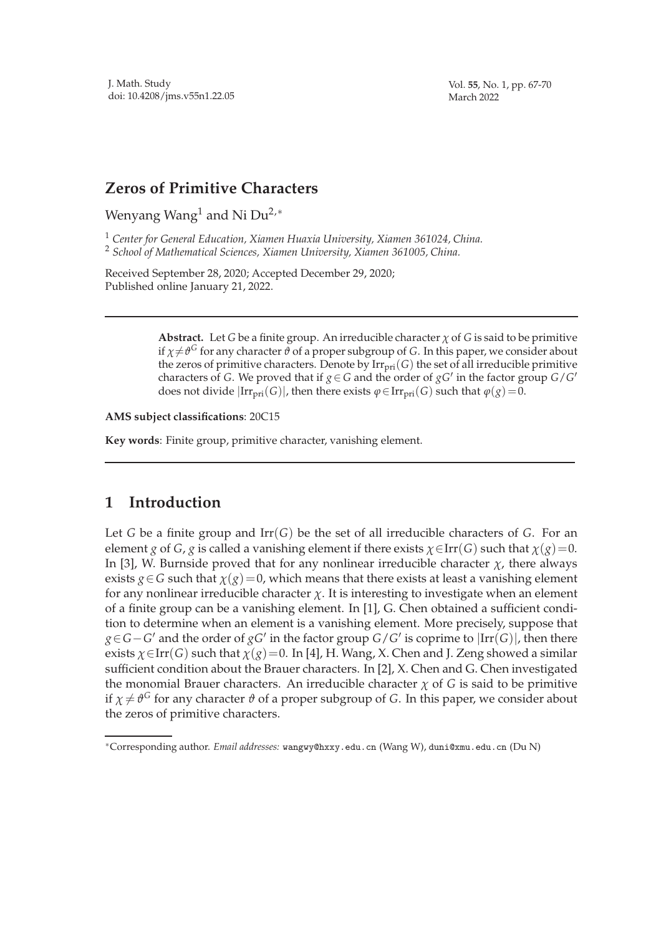Vol. **55**, No. 1, pp. 67-70 March 2022

## **Zeros of Primitive Characters**

Wenyang Wang<sup>1</sup> and Ni Du<sup>2,∗</sup>

<sup>1</sup> *Center for General Education, Xiamen Huaxia University, Xiamen 361024, China.* <sup>2</sup> *School of Mathematical Sciences, Xiamen University, Xiamen 361005, China.*

Received September 28, 2020; Accepted December 29, 2020; Published online January 21, 2022.

> **Abstract.** Let *G* be a finite group. An irreducible character *χ* of *G* is said to be primitive if  $\chi{\neq}\vartheta^G$  for any character  $\vartheta$  of a proper subgroup of *G*. In this paper, we consider about the zeros of primitive characters. Denote by  $\text{Irr}_{\text{pri}}(G)$  the set of all irreducible primitive characters of *G*. We proved that if  $g \in G$  and the order of  $gG'$  in the factor group  $G/G'$ does not divide  $|Irr_{pri}(G)|$ , then there exists  $\varphi \in Irr_{pri}(G)$  such that  $\varphi(g) = 0$ .

**AMS subject classifications**: 20C15

**Key words**: Finite group, primitive character, vanishing element.

## **1 Introduction**

Let *G* be a finite group and  $\text{Irr}(G)$  be the set of all irreducible characters of *G*. For an element *g* of *G*, *g* is called a vanishing element if there exists  $\chi \in \text{Irr}(G)$  such that  $\chi(g)=0$ . In [3], W. Burnside proved that for any nonlinear irreducible character  $\chi$ , there always exists  $g \in G$  such that  $\chi(g) = 0$ , which means that there exists at least a vanishing element for any nonlinear irreducible character  $\chi$ . It is interesting to investigate when an element of a finite group can be a vanishing element. In [1], G. Chen obtained a sufficient condition to determine when an element is a vanishing element. More precisely, suppose that *g*∈*G*−*G*<sup>'</sup> and the order of *gG*<sup>'</sup> in the factor group *G*/*G*<sup>'</sup> is coprime to  $|Irr(G)|$ , then there exists  $\chi \in \text{Irr}(G)$  such that  $\chi(g) = 0$ . In [4], H. Wang, X. Chen and J. Zeng showed a similar sufficient condition about the Brauer characters. In [2], X. Chen and G. Chen investigated the monomial Brauer characters. An irreducible character  $\chi$  of *G* is said to be primitive if  $\chi\neq\vartheta^G$  for any character  $\vartheta$  of a proper subgroup of  $G.$  In this paper, we consider about the zeros of primitive characters.

<sup>∗</sup>Corresponding author. *Email addresses:* wangwy@hxxy.edu.cn (Wang W), duni@xmu.edu.cn (Du N)